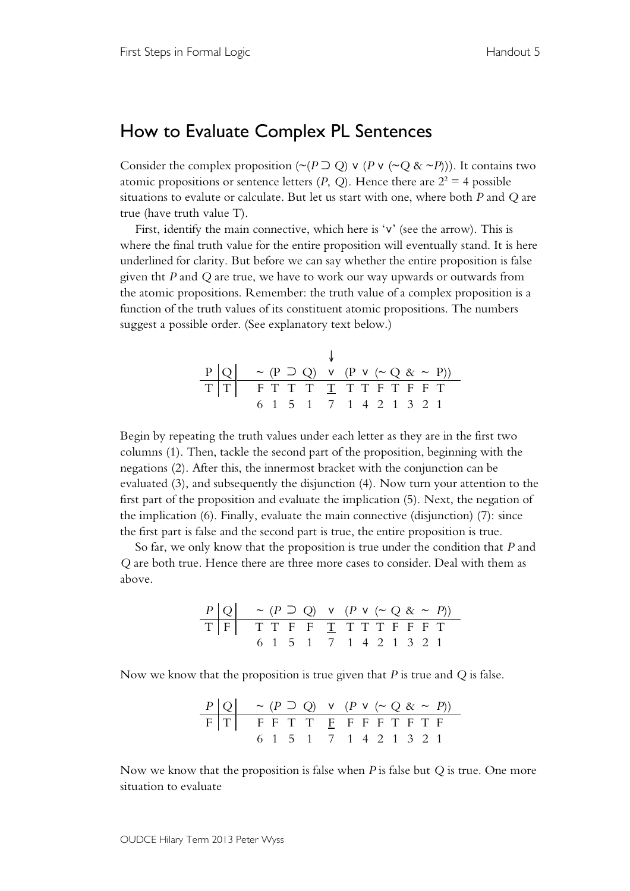## How to Evaluate Complex PL Sentences

Consider the complex proposition ( $\sim$ ( $P \supset Q$ )  $\vee$  ( $P \vee (\sim Q \& \sim P)$ )). It contains two atomic propositions or sentence letters  $(P, Q)$ . Hence there are  $2^2 = 4$  possible situations to evalute or calculate. But let us start with one, where both *P* and *Q* are true (have truth value T).

First, identify the main connective, which here is '∨' (see the arrow). This is where the final truth value for the entire proposition will eventually stand. It is here underlined for clarity. But before we can say whether the entire proposition is false given tht *P* and *Q* are true, we have to work our way upwards or outwards from the atomic propositions. Remember: the truth value of a complex proposition is a function of the truth values of its constituent atomic propositions. The numbers suggest a possible order. (See explanatory text below.)

| $P  Q  \sim (P \supset Q)$ v $(P \vee (\sim Q \& \sim P))$ |  |  |                         |  |  |  |  |
|------------------------------------------------------------|--|--|-------------------------|--|--|--|--|
| TT FTTTTTTTFTFFT                                           |  |  |                         |  |  |  |  |
|                                                            |  |  | 6 1 5 1 7 1 4 2 1 3 2 1 |  |  |  |  |

Begin by repeating the truth values under each letter as they are in the first two columns (1). Then, tackle the second part of the proposition, beginning with the negations (2). After this, the innermost bracket with the conjunction can be evaluated (3), and subsequently the disjunction (4). Now turn your attention to the first part of the proposition and evaluate the implication (5). Next, the negation of the implication (6). Finally, evaluate the main connective (disjunction) (7): since the first part is false and the second part is true, the entire proposition is true.

So far, we only know that the proposition is true under the condition that *P* and *Q* are both true. Hence there are three more cases to consider. Deal with them as above.

| $P$ | $Q$ | $\sim$ ( $P$ D Q) | $\vee$ ( $P$ v ( $\sim$ Q & $\propto$ $\sim$ $P$ )) |   |   |   |   |   |   |   |   |   |
|-----|-----|-------------------|-----------------------------------------------------|---|---|---|---|---|---|---|---|---|
| T   | F   | T                 | T                                                   | F | F | T | T | T | T | F | F | T |
| 6   | 1   | 5                 | 1                                                   | 7 | 1 | 4 | 2 | 1 | 3 | 2 | 1 |   |

Now we know that the proposition is true given that *P* is true and *Q* is false.

| $P$ | $Q$ | $\sim$ ( $P$ D Q) | $\vee$ ( $P$ v ( $\sim$ Q & $\propto$ $\sim$ $P$ )) |     |     |     |     |     |     |     |     |
|-----|-----|-------------------|-----------------------------------------------------|-----|-----|-----|-----|-----|-----|-----|-----|
| $F$ | $T$ | $F$               | $F$                                                 | $T$ | $T$ | $F$ | $F$ | $F$ | $F$ | $T$ | $T$ |
| $6$ | $1$ | $5$               | $1$                                                 | $7$ | $1$ | $4$ | $2$ | $1$ | $3$ | $2$ | $1$ |

Now we know that the proposition is false when *P* is false but *Q* is true. One more situation to evaluate